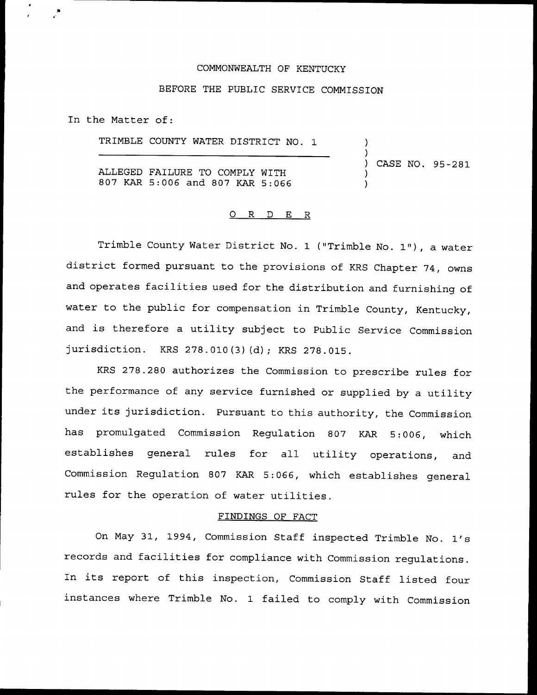## COMMONWEALTH OF KENTUCKY

# BEFORE THE PUBLIC SERVICE COMMISSION

In the Matter of:

TRIMBLE COUNTY WATER DISTRICT NO. 1 ALLEGED FAILURE TO COMPLY WITH 807 KAR 5:006 and 807 KAR 5:066 ) ) ) CASE NO. 95-281 ) )

# 0 R <sup>D</sup> E R

Trimble County Water District No. <sup>1</sup> ("Trimble No. 1"), <sup>a</sup> water district formed pursuant to the provisions of KRS Chapter 74, owns and operates facilities used for the distribution and furnishing of water to the public for compensation in Trimble County, Kentucky, and is therefore <sup>a</sup> utility subject to Public Service Commission jurisdiction. KRS 278.010(3)(d); KRS 278.015.

KRS 278.280 authorizes the Commission to prescribe rules for the performance of any service furnished or supplied by <sup>a</sup> utility under its jurisdiction. Pursuant to this authority, the Commission has promulgated Commission Regulation 807 KAR 5:006, which establishes general rules for all utility operations, and Commission Regulation 807 KAR 5:066, which establishes general rules for the operation of water utilities.

#### FINDINGS QF FACT

On May 31, 1994, Commission Staff inspected Trimble No. 1's records and facilities for compliance with Commission regulations. In its report of this inspection, Commission Staff listed four instances where Trimble No. 1 failed to comply with Commission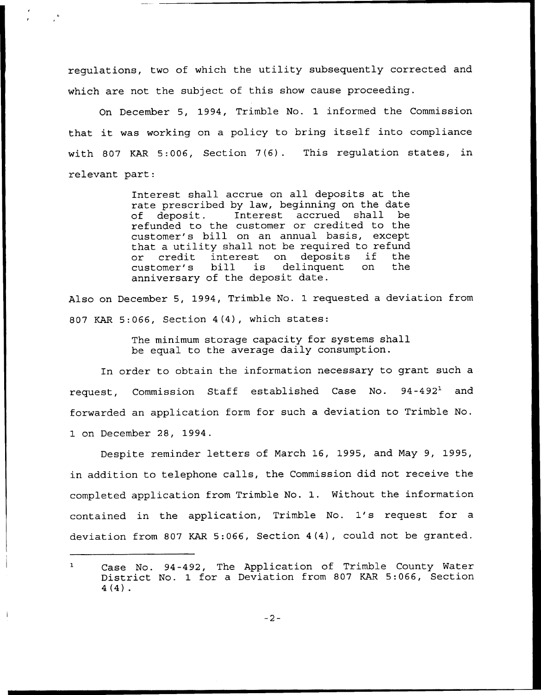regulations, two of which the utility subsequently corrected and which are not the subject of this show cause proceeding.

On December 5, 1994, Trimble No. 1 informed the Commission that it was working on <sup>a</sup> policy to bring itself into compliance with 807 KAR 5:006, Section 7(6). This regulation states, in relevant part:

> Interest shall accrue on all deposits at the rate prescribed by law, beginning on the date<br>of deposit. Interest accrued shall be accrued shall be refunded to the customer or credited to the customer's bill on an annual basis, except that a utility shall not be required to refun or credit interest on deposits if the or credit interest on deposits if the<br>customer's bill is delinquent on the anniversary of the deposit date.

Also on December 5, 1994, Trimble No. 1 requested a deviation from 807 KAR 5:066, Section 4(4), which states:

> The minimum storage capacity for systems shall be equal to the average daily consumption.

In order to obtain the information necessary to grant such a request, Commission Staff established Case No.  $94-492<sup>1</sup>$  and forwarded an application form for such a deviation to Trimble No. 1 on December 28, 1994.

Despite reminder letters of March 16, 1995, and May 9, 1995, in addition to telephone calls, the Commission did not receive the completed application from Trimble No. 1. Without the information contained in the application, Trimble No. 1's request for <sup>a</sup> deviation from 807 KAR 5:066, Section 4(4), could not be granted.

 $-2-$ 

 $\mathbf{1}$ Case No. 94-492, The Application of Trimble County Water District No. 1 for a Deviation from 807 KAR 5:066, Section 4(4) .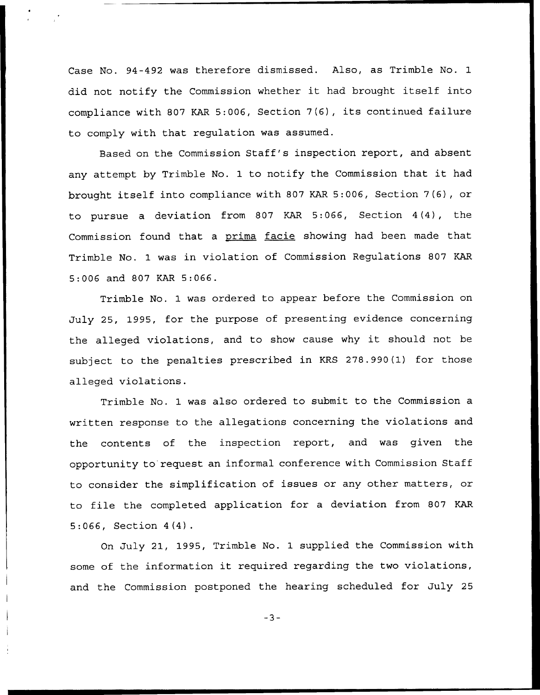Case No. 94-492 was therefore dismissed. Also, as Trimble No. 1 did not notify the Commission whether it had brought itself into compliance with <sup>807</sup> KAR 5:006, Section 7(6), its continued failure to comply with that regulation was assumed.

Based on the Commission Staff's inspection report, and absent any attempt by Trimble No. <sup>1</sup> to notify the Commission that it had brought itself into compliance with 807 KAR 5:006, Section 7(6), or to pursue a deviation from 807 KAR 5:066, Section 4(4), the Commission found that a prima facie showing had been made that Trimble No. 1 was in violation of Commission Regulations 807 KAR 5:006 and 807 KAR 5:066.

Trimble No. 1 was ordered to appear before the Commission on July 25, 1995, for the purpose of presenting evidence concerning the alleged violations, and to show cause why it should not be subject to the penalties prescribed in KRS 278.990(1) for those alleged violations.

Trimble No. 1 was also ordered to submit to the Commission a written response to the allegations concerning the violations and the contents of the inspection report, and was given the opportunity to request an informal conference with Commission Staff to consider the simplification of issues or any other matters, or to file the completed application for <sup>a</sup> deviation from 807 KAR 5:066, Section 4(4).

Qn July 21, 1995, Trimble No. 1 supplied the Commission with some of the information it required regarding the two violations, and the Commission postponed the hearing scheduled for July 25

 $-3-$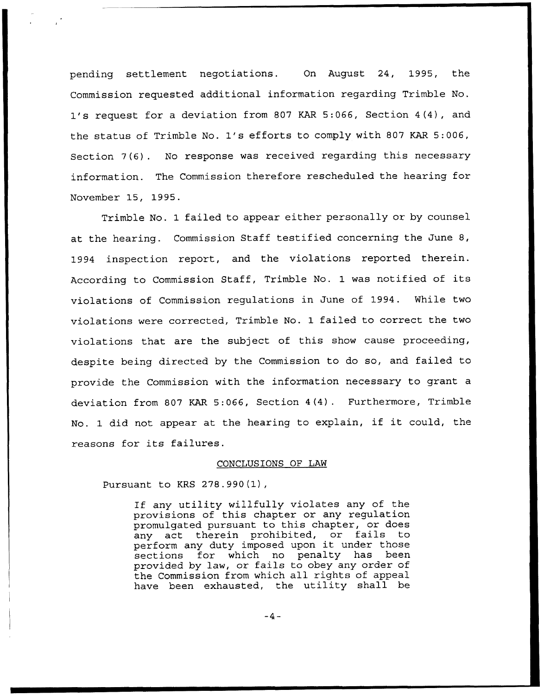pending settlement negotiations. On August 24, 1995, the Commission requested additional information regarding Trimble No. 1's request for <sup>a</sup> deviation from <sup>807</sup> KAR 5:066, Section 4(4), and the status of Trimble No. 1's efforts to comply with <sup>807</sup> KAR 5:006, Section 7(6). No response was received regarding this necessary information. The Commission therefore rescheduled the hearing for November 15, 1995.

Trimble No. 1 failed to appear either personally or by counsel at the hearing. Commission Staff testified concerning the June 8, 1994 inspection report, and the violations reported therein. According to Commission Staff, Trimble No. <sup>1</sup> was notified of its violations of Commission regulations in June of 1994. While two violations were corrected, Trimble No. 1 failed to correct the two violations that are the subject of this show cause proceeding, despite being directed by the Commission to do so, and failed to provide the Commission with the information necessary to grant a deviation from 807 KAR 5:066, Section 4(4). Furthermore, Trimble No. <sup>1</sup> did not appear at the hearing to explain, if it could, the reasons for its failures.

## CONCLUSIONS OF LAW

Pursuant to KRS 278.990(1),

If any utility willfully violates any of the provisions of this chapter or any regulation promulgated pursuant to this chapter, or does<br>any act therein prohibited, or fails to act therein prohibited, or fails perform any duty imposed upon it under those sections for which no penalty has been provided by law, or fails to obey any order of the Commission from which all rights of appeal have been exhausted, the utility shall be

 $-4-$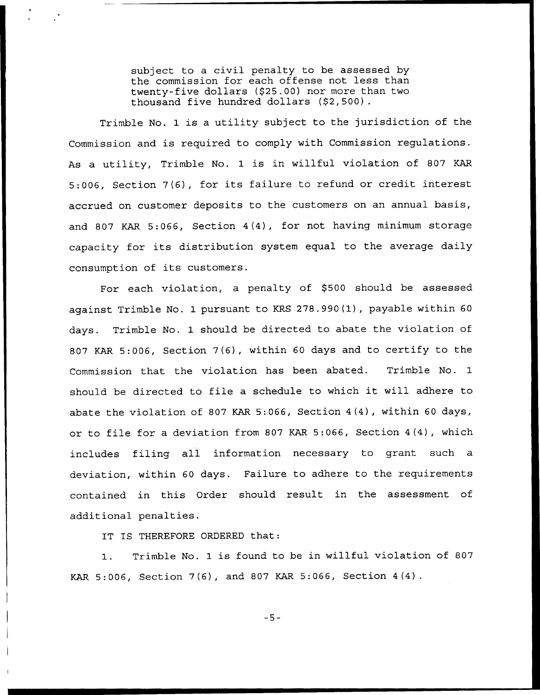subject to a civil penalty to be assessed by the commission for each offense not less than twenty-five dollars (\$25.00) nor more than two thousand five hundred dollars (\$2,500).

Trimble No. 1 is a utility subject to the jurisdiction of the Commission and is required to comply with Commission regulations. As <sup>a</sup> utility, Trimble No. <sup>1</sup> is in willful violation of 807 KAR 5:006, Section 7(6), for its failure to refund or credit interest accrued on customer deposits to the customers on an annual basis, and 807 KAR 5:066, Section 4(4), for not having minimum storage capacity for its distribution system equal to the average daily consumption of its customers.

For each violation, a penalty of \$500 should be assessed against Trimble No. 1 pursuant to KRS 278.990(1), payable within 60 days. Trimble No. 1 should be directed to abate the violation of 807 KAR 5:006, Section 7(6), within <sup>60</sup> days and to certify to the Commission that the violation has been abated. Trimble No. 1 should be directed to file <sup>a</sup> schedule to which it will adhere to abate the violation of 807 KAR 5:066, Section 4(4), within 60 days, or to file for a deviation from 807 KAR 5:066, Section 4(4), which includes filing all information necessary to grant such a deviation, within 60 days. Failure to adhere to the requirements contained in this Order should result in the assessment of additional penalties.

IT IS THEREFORE ORDERED that:

1. Trimble No. <sup>1</sup> is found to be in willful violation of <sup>807</sup> KAR 5:006, Section 7(6), and 807 KAR 5:066, Section 4(4)

 $-5-$